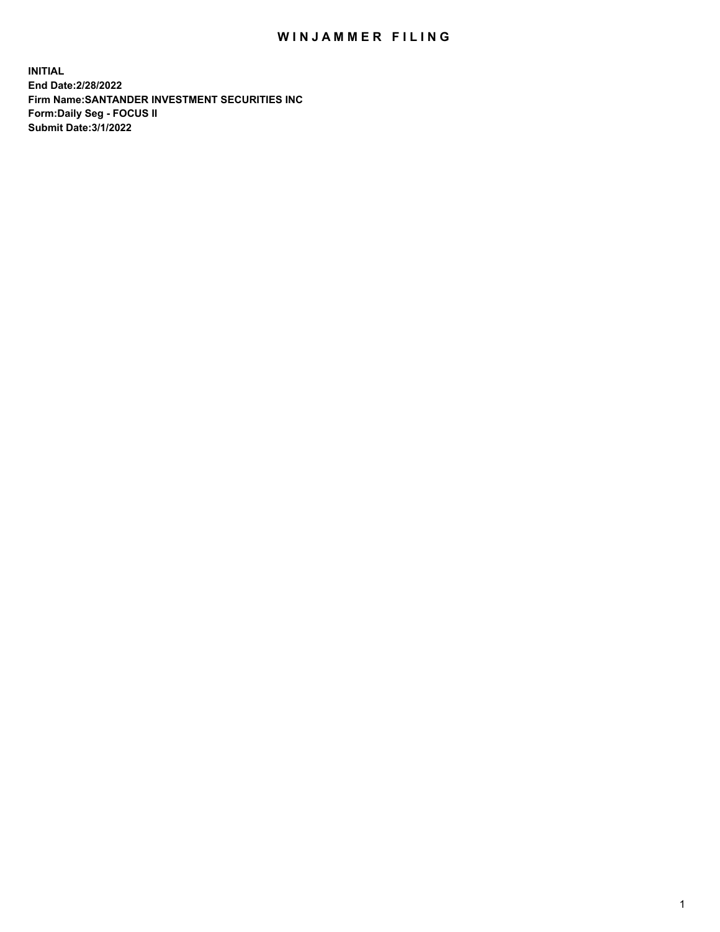## WIN JAMMER FILING

**INITIAL End Date:2/28/2022 Firm Name:SANTANDER INVESTMENT SECURITIES INC Form:Daily Seg - FOCUS II Submit Date:3/1/2022**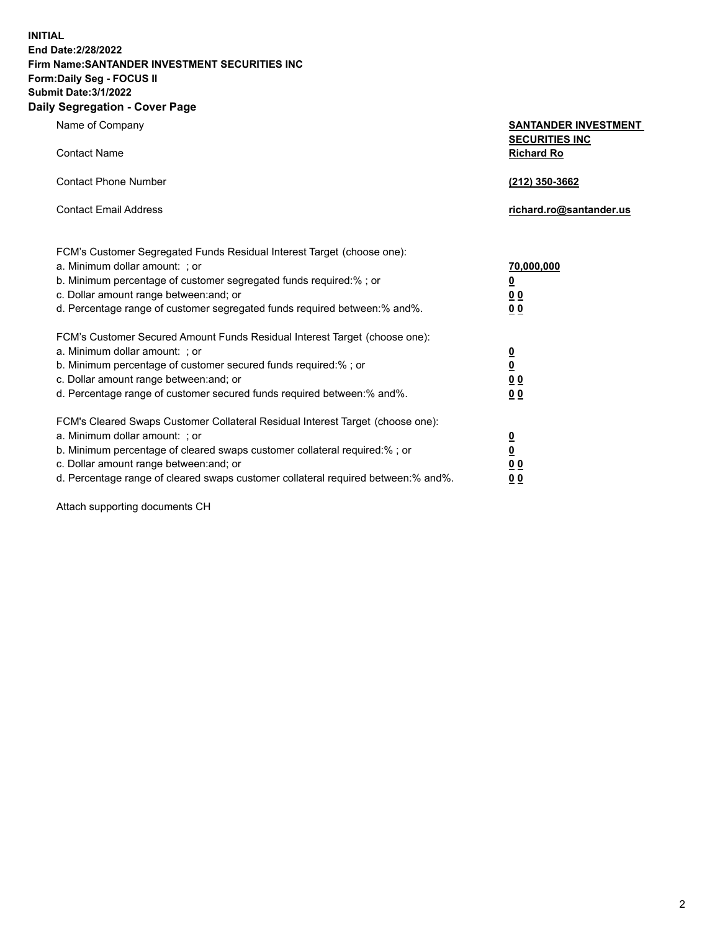**INITIAL End Date:2/28/2022 Firm Name:SANTANDER INVESTMENT SECURITIES INC Form:Daily Seg - FOCUS II Submit Date:3/1/2022**

## **Daily Segregation - Cover Page**

**Name of Company** 

**Contact Name** 

| <b>SANTANDER INVESTMENT</b> |
|-----------------------------|
| <b>SECURITIES INC</b>       |
| <b>Richard Ro</b>           |

| <b>Contact Phone Number</b>                                                                                     | (212) 350-3662          |  |
|-----------------------------------------------------------------------------------------------------------------|-------------------------|--|
| <b>Contact Email Address</b>                                                                                    | richard.ro@santander.us |  |
| FCM's Customer Segregated Funds Residual Interest Target (choose one):<br>a. Minimum dollar amount: ; or        | 70,000,000              |  |
| b. Minimum percentage of customer segregated funds required:%; or                                               | <u>0</u>                |  |
| the contract of the contract of the contract of the contract of the contract of the contract of the contract of |                         |  |

| c. Dollar amount range between: and; or<br>d. Percentage range of customer segregated funds required between: % and %.                                                                                                                                                                               | 00<br>00                                                       |
|------------------------------------------------------------------------------------------------------------------------------------------------------------------------------------------------------------------------------------------------------------------------------------------------------|----------------------------------------------------------------|
| FCM's Customer Secured Amount Funds Residual Interest Target (choose one):<br>a. Minimum dollar amount: : or<br>b. Minimum percentage of customer secured funds required:% ; or<br>c. Dollar amount range between: and; or<br>d. Percentage range of customer secured funds required between:% and%. | $\overline{\mathbf{0}}$<br>$\overline{\mathbf{0}}$<br>00<br>00 |
| FCM's Cleared Swaps Customer Collateral Residual Interest Target (choose one):<br>a. Minimum dollar amount: ; or<br>b. Minimum percentage of cleared swaps customer collateral required:% ; or<br>c. Dollar amount range between: and; or                                                            | 0<br>0                                                         |

d. Percentage range of cleared swaps customer collateral required between:% and%. **0 0**

Attach supporting documents CH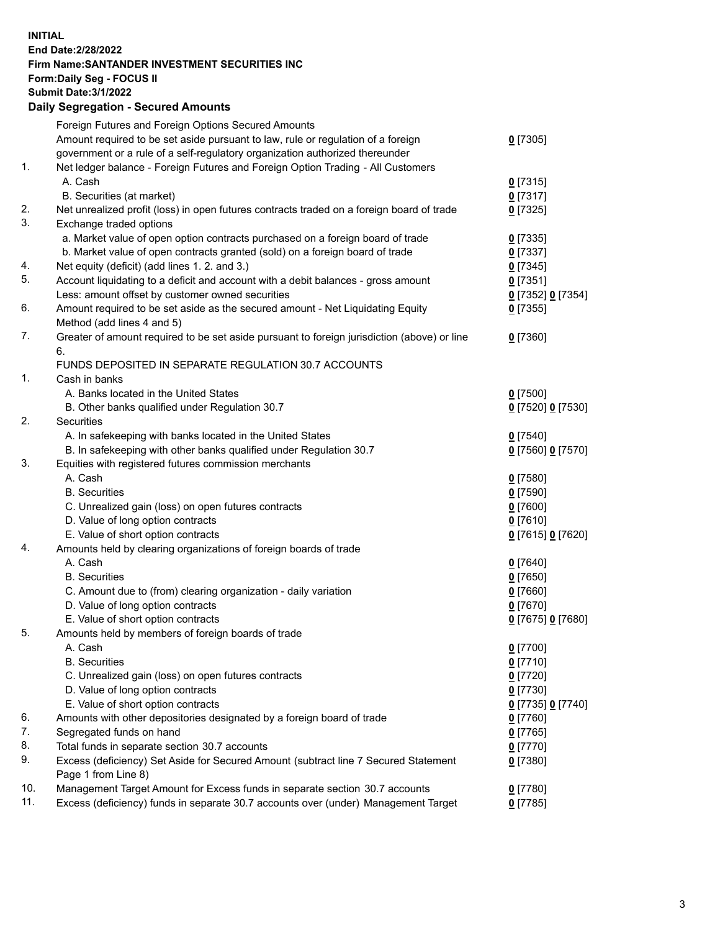**INITIAL End Date:2/28/2022 Firm Name:SANTANDER INVESTMENT SECURITIES INC Form:Daily Seg - FOCUS II Submit Date:3/1/2022 Daily Segregation - Secured Amounts** Foreign Futures and Foreign Options Secured Amounts Amount required to be set aside pursuant to law, rule or regulation of a foreign government or a rule of a self-regulatory organization authorized thereunder **0** [7305] 1. Net ledger balance - Foreign Futures and Foreign Option Trading - All Customers A. Cash **0** [7315] B. Securities (at market) **0** [7317] 2. Net unrealized profit (loss) in open futures contracts traded on a foreign board of trade **0** [7325] 3. Exchange traded options a. Market value of open option contracts purchased on a foreign board of trade **0** [7335] b. Market value of open contracts granted (sold) on a foreign board of trade **0** [7337] 4. Net equity (deficit) (add lines 1. 2. and 3.) **0** [7345] 5. Account liquidating to a deficit and account with a debit balances - gross amount **0** [7351] Less: amount offset by customer owned securities **0** [7352] **0** [7354] 6. Amount required to be set aside as the secured amount - Net Liquidating Equity Method (add lines 4 and 5) **0** [7355] 7. Greater of amount required to be set aside pursuant to foreign jurisdiction (above) or line 6. **0** [7360] FUNDS DEPOSITED IN SEPARATE REGULATION 30.7 ACCOUNTS 1. Cash in banks A. Banks located in the United States **0** [7500] B. Other banks qualified under Regulation 30.7 **0** [7520] **0** [7530] 2. Securities A. In safekeeping with banks located in the United States **0** [7540] B. In safekeeping with other banks qualified under Regulation 30.7 **0** [7560] **0** [7570] 3. Equities with registered futures commission merchants A. Cash **0** [7580] B. Securities **0** [7590] C. Unrealized gain (loss) on open futures contracts **0** [7600] D. Value of long option contracts **0** [7610] E. Value of short option contracts **0** [7615] **0** [7620] 4. Amounts held by clearing organizations of foreign boards of trade A. Cash **0** [7640] B. Securities **0** [7650] C. Amount due to (from) clearing organization - daily variation **0** [7660] D. Value of long option contracts **0** [7670] E. Value of short option contracts **0** [7675] **0** [7680] 5. Amounts held by members of foreign boards of trade A. Cash **0** [7700] B. Securities **0** [7710] C. Unrealized gain (loss) on open futures contracts **0** [7720] D. Value of long option contracts **0** [7730] E. Value of short option contracts **0** [7735] **0** [7740] 6. Amounts with other depositories designated by a foreign board of trade **0** [7760] 7. Segregated funds on hand **0** [7765] 8. Total funds in separate section 30.7 accounts **0** [7770] 9. Excess (deficiency) Set Aside for Secured Amount (subtract line 7 Secured Statement Page 1 from Line 8) **0** [7380]

10. Management Target Amount for Excess funds in separate section 30.7 accounts **0** [7780]

11. Excess (deficiency) funds in separate 30.7 accounts over (under) Management Target **0** [7785]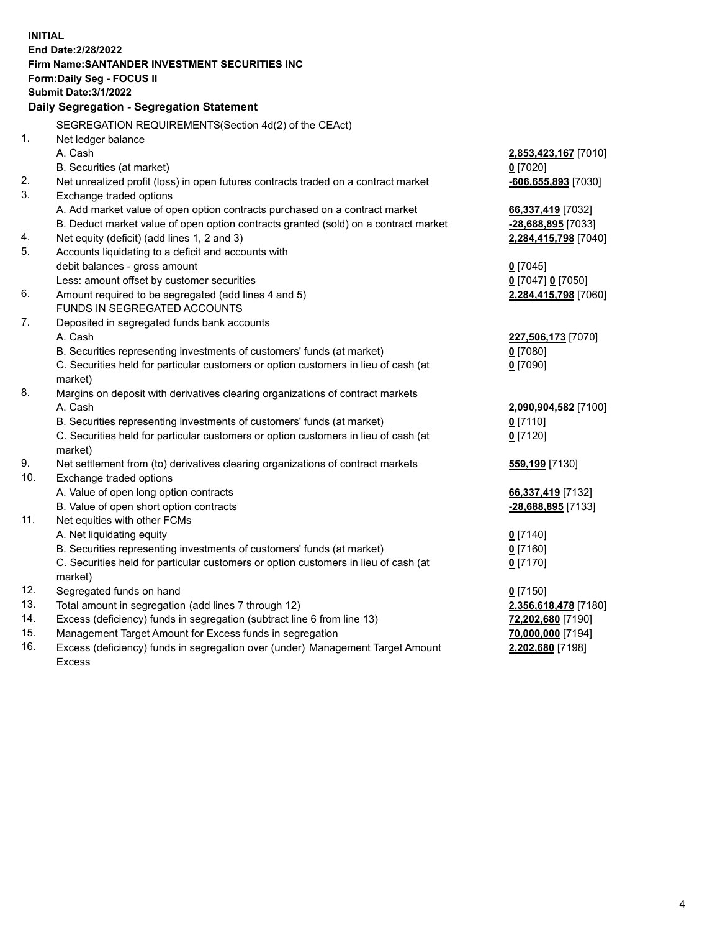| <b>INITIAL</b> |                                                                                                                                            |                                       |
|----------------|--------------------------------------------------------------------------------------------------------------------------------------------|---------------------------------------|
|                | End Date: 2/28/2022                                                                                                                        |                                       |
|                | Firm Name: SANTANDER INVESTMENT SECURITIES INC                                                                                             |                                       |
|                | Form: Daily Seg - FOCUS II                                                                                                                 |                                       |
|                | <b>Submit Date: 3/1/2022</b>                                                                                                               |                                       |
|                | Daily Segregation - Segregation Statement                                                                                                  |                                       |
|                | SEGREGATION REQUIREMENTS(Section 4d(2) of the CEAct)                                                                                       |                                       |
| 1.             | Net ledger balance                                                                                                                         |                                       |
|                | A. Cash                                                                                                                                    | 2,853,423,167 [7010]                  |
|                | B. Securities (at market)                                                                                                                  | $0$ [7020]                            |
| 2.             | Net unrealized profit (loss) in open futures contracts traded on a contract market                                                         | $-606,655,893$ [7030]                 |
| 3.             | Exchange traded options                                                                                                                    |                                       |
|                | A. Add market value of open option contracts purchased on a contract market                                                                | 66,337,419 [7032]                     |
|                | B. Deduct market value of open option contracts granted (sold) on a contract market                                                        | -28,688,895 [7033]                    |
| 4.             | Net equity (deficit) (add lines 1, 2 and 3)                                                                                                | 2,284,415,798 [7040]                  |
| 5.             | Accounts liquidating to a deficit and accounts with                                                                                        |                                       |
|                | debit balances - gross amount                                                                                                              | $0$ [7045]                            |
|                | Less: amount offset by customer securities                                                                                                 | 0 [7047] 0 [7050]                     |
| 6.             | Amount required to be segregated (add lines 4 and 5)                                                                                       | 2,284,415,798 [7060]                  |
|                | FUNDS IN SEGREGATED ACCOUNTS                                                                                                               |                                       |
| 7.             | Deposited in segregated funds bank accounts                                                                                                |                                       |
|                | A. Cash                                                                                                                                    | 227,506,173 [7070]                    |
|                | B. Securities representing investments of customers' funds (at market)                                                                     | $0$ [7080]                            |
|                | C. Securities held for particular customers or option customers in lieu of cash (at                                                        | $0$ [7090]                            |
|                | market)                                                                                                                                    |                                       |
| 8.             | Margins on deposit with derivatives clearing organizations of contract markets                                                             |                                       |
|                | A. Cash                                                                                                                                    | 2,090,904,582 [7100]                  |
|                | B. Securities representing investments of customers' funds (at market)                                                                     | $0$ [7110]                            |
|                | C. Securities held for particular customers or option customers in lieu of cash (at                                                        | $0$ [7120]                            |
|                | market)                                                                                                                                    |                                       |
| 9.             | Net settlement from (to) derivatives clearing organizations of contract markets                                                            | 559,199 [7130]                        |
| 10.            | Exchange traded options                                                                                                                    |                                       |
|                | A. Value of open long option contracts                                                                                                     | 66,337,419 [7132]                     |
|                | B. Value of open short option contracts                                                                                                    | <u>-28,688,895</u> [7133]             |
| 11.            | Net equities with other FCMs                                                                                                               |                                       |
|                | A. Net liquidating equity                                                                                                                  | $0$ [7140]                            |
|                | B. Securities representing investments of customers' funds (at market)                                                                     | $0$ [7160]                            |
|                | C. Securities held for particular customers or option customers in lieu of cash (at                                                        | $0$ [7170]                            |
| 12.            | market)                                                                                                                                    |                                       |
| 13.            | Segregated funds on hand<br>Total amount in segregation (add lines 7 through 12)                                                           | $0$ [7150]                            |
| 14.            |                                                                                                                                            | 2,356,618,478 [7180]                  |
| 15.            | Excess (deficiency) funds in segregation (subtract line 6 from line 13)                                                                    | 72,202,680 [7190]                     |
| 16.            | Management Target Amount for Excess funds in segregation<br>Excess (deficiency) funds in segregation over (under) Management Target Amount | 70,000,000 [7194]<br>2,202,680 [7198] |
|                | <b>Excess</b>                                                                                                                              |                                       |
|                |                                                                                                                                            |                                       |